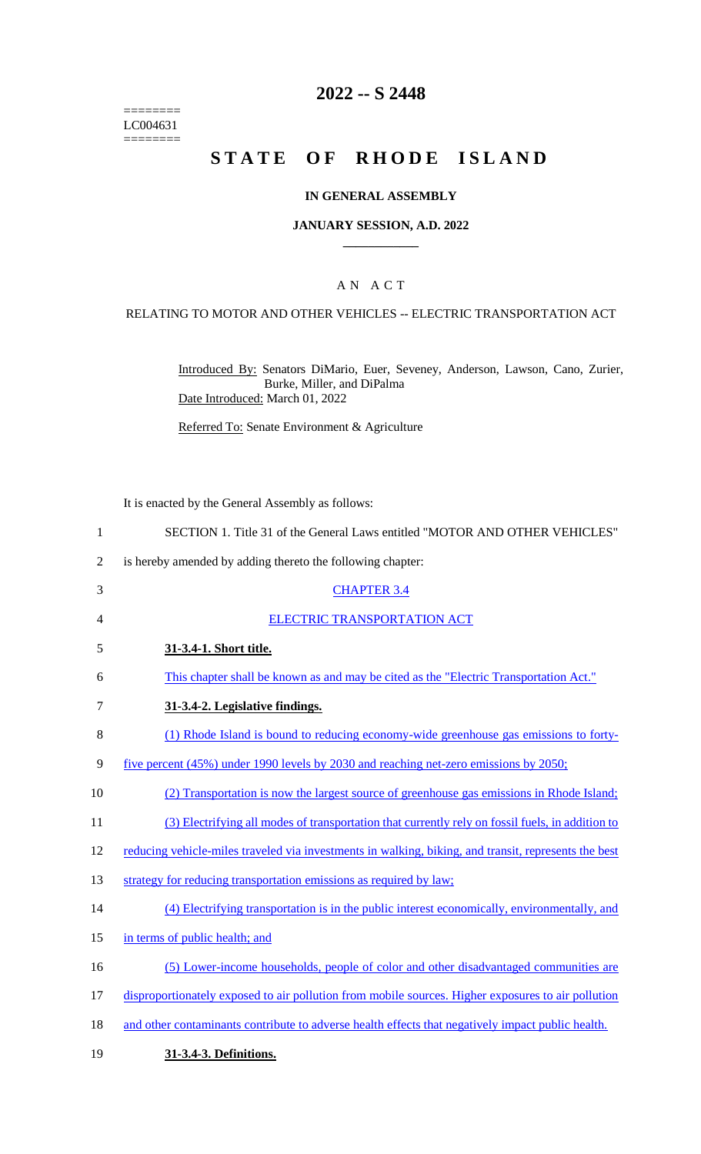======== LC004631  $=$ 

# **2022 -- S 2448**

# **STATE OF RHODE ISLAND**

## **IN GENERAL ASSEMBLY**

#### **JANUARY SESSION, A.D. 2022 \_\_\_\_\_\_\_\_\_\_\_\_**

### A N A C T

### RELATING TO MOTOR AND OTHER VEHICLES -- ELECTRIC TRANSPORTATION ACT

Introduced By: Senators DiMario, Euer, Seveney, Anderson, Lawson, Cano, Zurier, Burke, Miller, and DiPalma Date Introduced: March 01, 2022

Referred To: Senate Environment & Agriculture

It is enacted by the General Assembly as follows:

| 1              | SECTION 1. Title 31 of the General Laws entitled "MOTOR AND OTHER VEHICLES"                          |
|----------------|------------------------------------------------------------------------------------------------------|
| $\overline{2}$ | is hereby amended by adding thereto the following chapter:                                           |
| 3              | <b>CHAPTER 3.4</b>                                                                                   |
| 4              | <b>ELECTRIC TRANSPORTATION ACT</b>                                                                   |
| 5              | 31-3.4-1. Short title.                                                                               |
| 6              | This chapter shall be known as and may be cited as the "Electric Transportation Act."                |
| 7              | 31-3.4-2. Legislative findings.                                                                      |
| 8              | (1) Rhode Island is bound to reducing economy-wide greenhouse gas emissions to forty-                |
| 9              | <u>five percent (45%) under 1990 levels by 2030 and reaching net-zero emissions by 2050;</u>         |
| 10             | (2) Transportation is now the largest source of greenhouse gas emissions in Rhode Island;            |
| 11             | (3) Electrifying all modes of transportation that currently rely on fossil fuels, in addition to     |
| 12             | reducing vehicle-miles traveled via investments in walking, biking, and transit, represents the best |
| 13             | strategy for reducing transportation emissions as required by law;                                   |
| 14             | (4) Electrifying transportation is in the public interest economically, environmentally, and         |
| 15             | in terms of public health; and                                                                       |
| 16             | (5) Lower-income households, people of color and other disadvantaged communities are                 |
| 17             | disproportionately exposed to air pollution from mobile sources. Higher exposures to air pollution   |
| 18             | and other contaminants contribute to adverse health effects that negatively impact public health.    |
| 19             | 31-3.4-3. Definitions.                                                                               |
|                |                                                                                                      |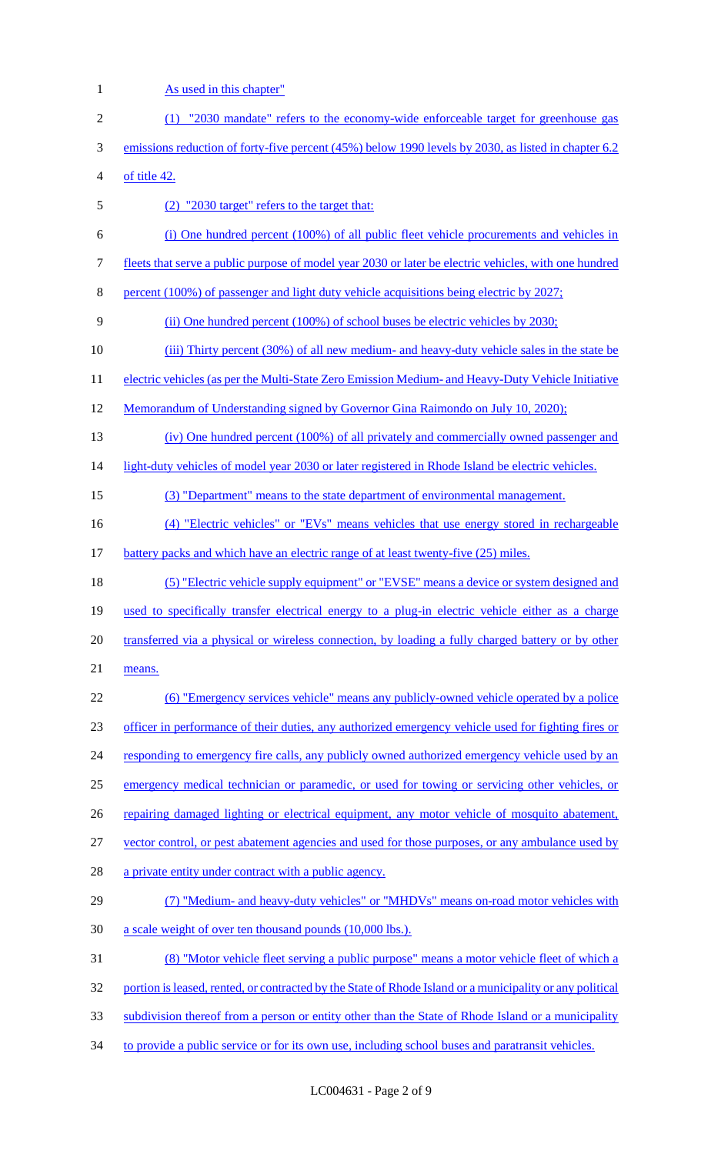1 As used in this chapter" (1) "2030 mandate" refers to the economy-wide enforceable target for greenhouse gas emissions reduction of forty-five percent (45%) below 1990 levels by 2030, as listed in chapter 6.2 of title 42. (2) "2030 target" refers to the target that: (i) One hundred percent (100%) of all public fleet vehicle procurements and vehicles in fleets that serve a public purpose of model year 2030 or later be electric vehicles, with one hundred percent (100%) of passenger and light duty vehicle acquisitions being electric by 2027; (ii) One hundred percent (100%) of school buses be electric vehicles by 2030; (iii) Thirty percent (30%) of all new medium- and heavy-duty vehicle sales in the state be 11 electric vehicles (as per the Multi-State Zero Emission Medium- and Heavy-Duty Vehicle Initiative Memorandum of Understanding signed by Governor Gina Raimondo on July 10, 2020); (iv) One hundred percent (100%) of all privately and commercially owned passenger and 14 light-duty vehicles of model year 2030 or later registered in Rhode Island be electric vehicles. (3) "Department" means to the state department of environmental management. 16 (4) "Electric vehicles" or "EVs" means vehicles that use energy stored in rechargeable battery packs and which have an electric range of at least twenty-five (25) miles. (5) "Electric vehicle supply equipment" or "EVSE" means a device or system designed and 19 used to specifically transfer electrical energy to a plug-in electric vehicle either as a charge transferred via a physical or wireless connection, by loading a fully charged battery or by other means. (6) "Emergency services vehicle" means any publicly-owned vehicle operated by a police officer in performance of their duties, any authorized emergency vehicle used for fighting fires or 24 responding to emergency fire calls, any publicly owned authorized emergency vehicle used by an emergency medical technician or paramedic, or used for towing or servicing other vehicles, or 26 repairing damaged lighting or electrical equipment, any motor vehicle of mosquito abatement, vector control, or pest abatement agencies and used for those purposes, or any ambulance used by 28 a private entity under contract with a public agency. (7) "Medium- and heavy-duty vehicles" or "MHDVs" means on-road motor vehicles with 30 a scale weight of over ten thousand pounds (10,000 lbs.). (8) "Motor vehicle fleet serving a public purpose" means a motor vehicle fleet of which a 32 portion is leased, rented, or contracted by the State of Rhode Island or a municipality or any political subdivision thereof from a person or entity other than the State of Rhode Island or a municipality 34 to provide a public service or for its own use, including school buses and paratransit vehicles.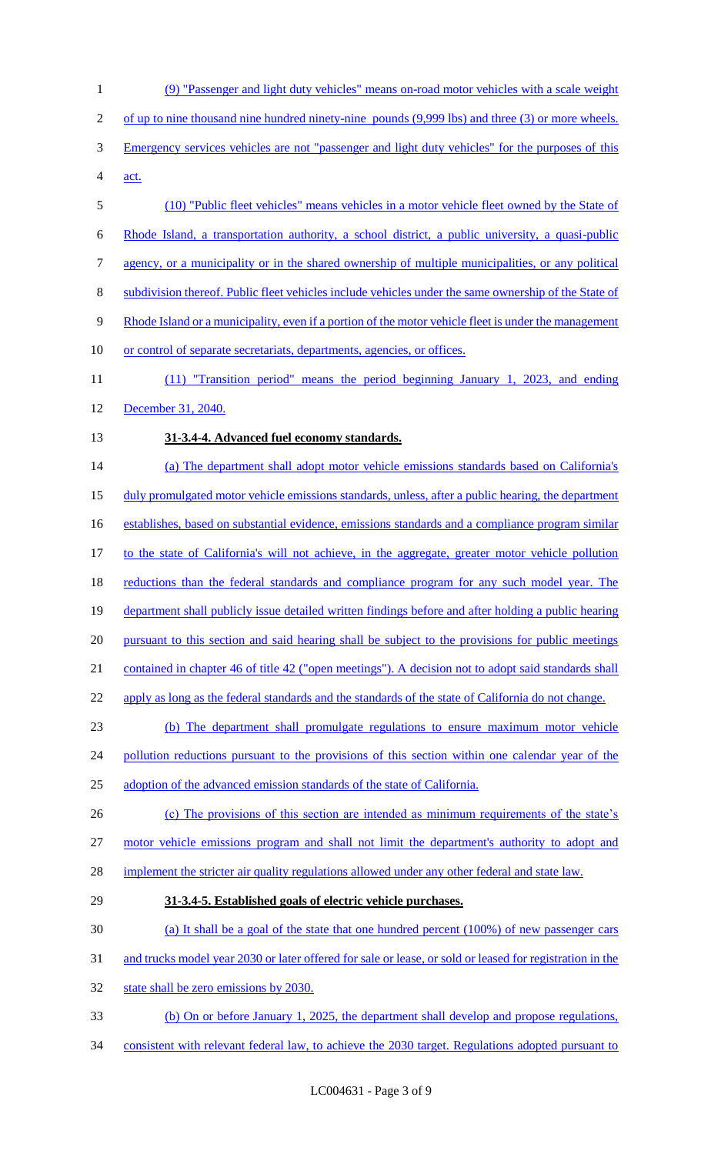(9) "Passenger and light duty vehicles" means on-road motor vehicles with a scale weight 2 of up to nine thousand nine hundred ninety-nine pounds (9,999 lbs) and three (3) or more wheels. Emergency services vehicles are not "passenger and light duty vehicles" for the purposes of this act. (10) "Public fleet vehicles" means vehicles in a motor vehicle fleet owned by the State of Rhode Island, a transportation authority, a school district, a public university, a quasi-public agency, or a municipality or in the shared ownership of multiple municipalities, or any political subdivision thereof. Public fleet vehicles include vehicles under the same ownership of the State of 9 Rhode Island or a municipality, even if a portion of the motor vehicle fleet is under the management 10 or control of separate secretariats, departments, agencies, or offices. (11) "Transition period" means the period beginning January 1, 2023, and ending December 31, 2040. **31-3.4-4. Advanced fuel economy standards.**  (a) The department shall adopt motor vehicle emissions standards based on California's 15 duly promulgated motor vehicle emissions standards, unless, after a public hearing, the department establishes, based on substantial evidence, emissions standards and a compliance program similar 17 to the state of California's will not achieve, in the aggregate, greater motor vehicle pollution 18 reductions than the federal standards and compliance program for any such model year. The department shall publicly issue detailed written findings before and after holding a public hearing 20 pursuant to this section and said hearing shall be subject to the provisions for public meetings contained in chapter 46 of title 42 ("open meetings"). A decision not to adopt said standards shall 22 apply as long as the federal standards and the standards of the state of California do not change. (b) The department shall promulgate regulations to ensure maximum motor vehicle 24 pollution reductions pursuant to the provisions of this section within one calendar year of the adoption of the advanced emission standards of the state of California. 26 (c) The provisions of this section are intended as minimum requirements of the state's motor vehicle emissions program and shall not limit the department's authority to adopt and 28 implement the stricter air quality regulations allowed under any other federal and state law. **31-3.4-5. Established goals of electric vehicle purchases.**  (a) It shall be a goal of the state that one hundred percent (100%) of new passenger cars and trucks model year 2030 or later offered for sale or lease, or sold or leased for registration in the 32 state shall be zero emissions by 2030. (b) On or before January 1, 2025, the department shall develop and propose regulations, consistent with relevant federal law, to achieve the 2030 target. Regulations adopted pursuant to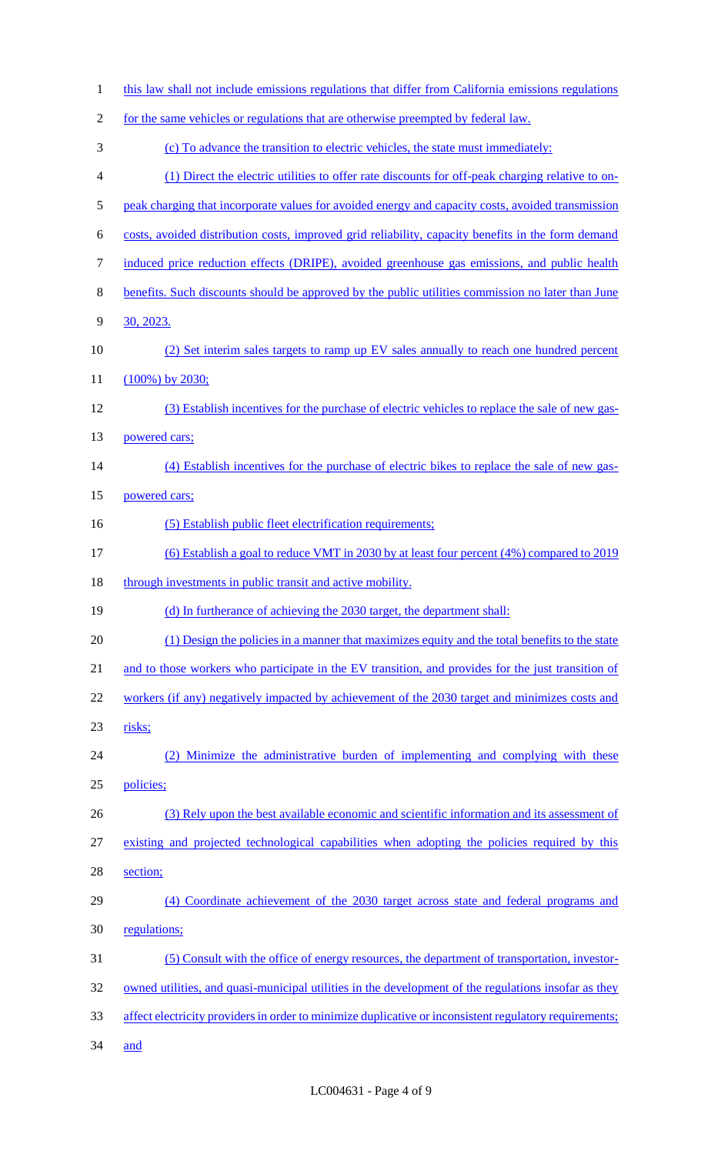| $\mathbf{1}$   | this law shall not include emissions regulations that differ from California emissions regulations     |
|----------------|--------------------------------------------------------------------------------------------------------|
| $\overline{2}$ | for the same vehicles or regulations that are otherwise preempted by federal law.                      |
| 3              | (c) To advance the transition to electric vehicles, the state must immediately:                        |
| $\overline{4}$ | (1) Direct the electric utilities to offer rate discounts for off-peak charging relative to on-        |
| 5              | peak charging that incorporate values for avoided energy and capacity costs, avoided transmission      |
| 6              | costs, avoided distribution costs, improved grid reliability, capacity benefits in the form demand     |
| $\overline{7}$ | induced price reduction effects (DRIPE), avoided greenhouse gas emissions, and public health           |
| 8              | benefits. Such discounts should be approved by the public utilities commission no later than June      |
| 9              | 30, 2023.                                                                                              |
| 10             | (2) Set interim sales targets to ramp up EV sales annually to reach one hundred percent                |
| 11             | $(100\%)$ by 2030;                                                                                     |
| 12             | (3) Establish incentives for the purchase of electric vehicles to replace the sale of new gas-         |
| 13             | powered cars;                                                                                          |
| 14             | (4) Establish incentives for the purchase of electric bikes to replace the sale of new gas-            |
| 15             | powered cars;                                                                                          |
| 16             | (5) Establish public fleet electrification requirements;                                               |
| 17             | (6) Establish a goal to reduce VMT in 2030 by at least four percent (4%) compared to 2019              |
| 18             | through investments in public transit and active mobility.                                             |
| 19             | (d) In furtherance of achieving the 2030 target, the department shall:                                 |
| 20             | (1) Design the policies in a manner that maximizes equity and the total benefits to the state          |
| 21             | and to those workers who participate in the EV transition, and provides for the just transition of     |
| 22             | workers (if any) negatively impacted by achievement of the 2030 target and minimizes costs and         |
| 23             | risks;                                                                                                 |
| 24             | Minimize the administrative burden of implementing and complying with these<br>(2)                     |
| 25             | policies;                                                                                              |
| 26             | (3) Rely upon the best available economic and scientific information and its assessment of             |
| 27             | existing and projected technological capabilities when adopting the policies required by this          |
| 28             | section;                                                                                               |
| 29             | (4) Coordinate achievement of the 2030 target across state and federal programs and                    |
| 30             | regulations;                                                                                           |
| 31             | (5) Consult with the office of energy resources, the department of transportation, investor-           |
| 32             | owned utilities, and quasi-municipal utilities in the development of the regulations insofar as they   |
| 33             | affect electricity providers in order to minimize duplicative or inconsistent regulatory requirements; |
| 34             | and                                                                                                    |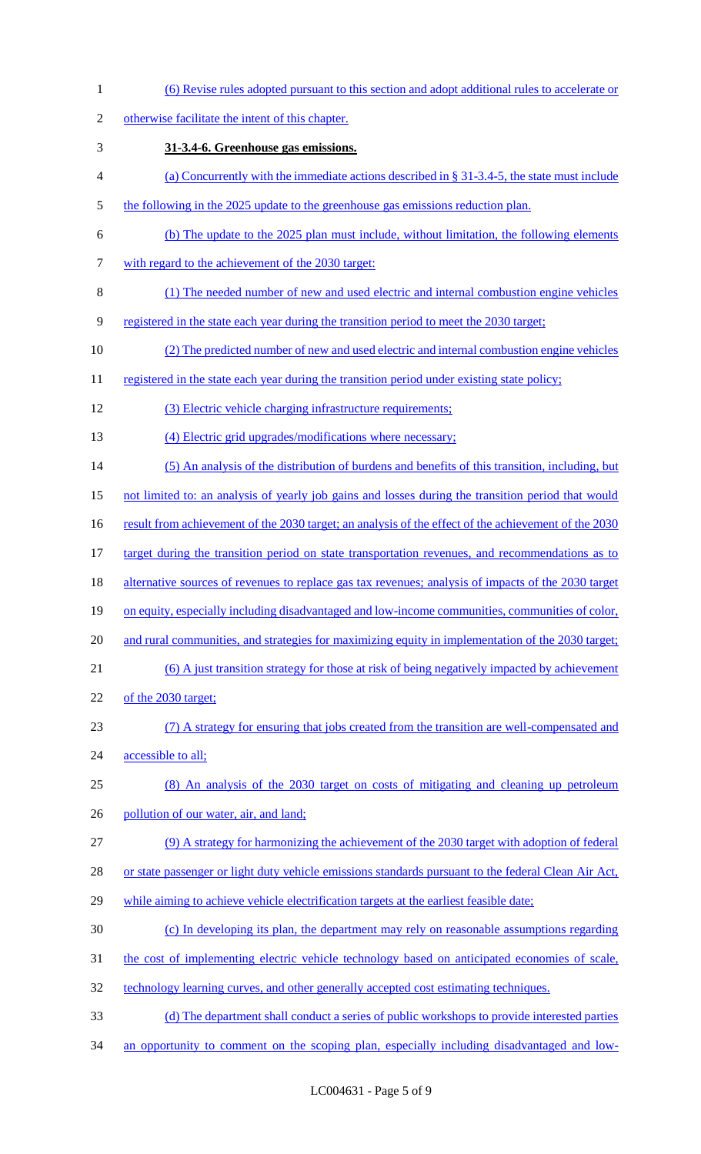(6) Revise rules adopted pursuant to this section and adopt additional rules to accelerate or otherwise facilitate the intent of this chapter. **31-3.4-6. Greenhouse gas emissions.**  (a) Concurrently with the immediate actions described in § 31-3.4-5, the state must include 5 the following in the 2025 update to the greenhouse gas emissions reduction plan. (b) The update to the 2025 plan must include, without limitation, the following elements 7 with regard to the achievement of the 2030 target: (1) The needed number of new and used electric and internal combustion engine vehicles registered in the state each year during the transition period to meet the 2030 target; (2) The predicted number of new and used electric and internal combustion engine vehicles 11 registered in the state each year during the transition period under existing state policy; (3) Electric vehicle charging infrastructure requirements; 13 (4) Electric grid upgrades/modifications where necessary; (5) An analysis of the distribution of burdens and benefits of this transition, including, but not limited to: an analysis of yearly job gains and losses during the transition period that would 16 result from achievement of the 2030 target; an analysis of the effect of the achievement of the 2030 17 target during the transition period on state transportation revenues, and recommendations as to 18 alternative sources of revenues to replace gas tax revenues; analysis of impacts of the 2030 target on equity, especially including disadvantaged and low-income communities, communities of color, and rural communities, and strategies for maximizing equity in implementation of the 2030 target; (6) A just transition strategy for those at risk of being negatively impacted by achievement of the 2030 target; (7) A strategy for ensuring that jobs created from the transition are well-compensated and 24 accessible to all; (8) An analysis of the 2030 target on costs of mitigating and cleaning up petroleum 26 pollution of our water, air, and land; (9) A strategy for harmonizing the achievement of the 2030 target with adoption of federal 28 or state passenger or light duty vehicle emissions standards pursuant to the federal Clean Air Act, while aiming to achieve vehicle electrification targets at the earliest feasible date; (c) In developing its plan, the department may rely on reasonable assumptions regarding 31 the cost of implementing electric vehicle technology based on anticipated economies of scale, 32 technology learning curves, and other generally accepted cost estimating techniques. (d) The department shall conduct a series of public workshops to provide interested parties 34 an opportunity to comment on the scoping plan, especially including disadvantaged and low-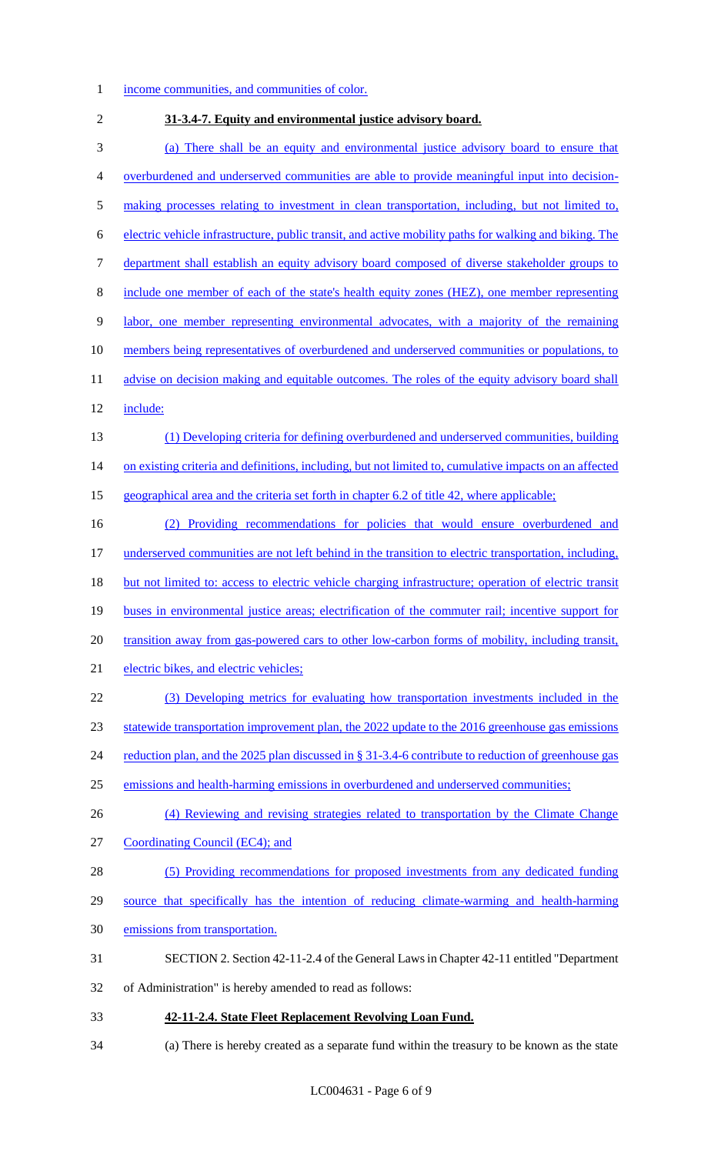### income communities, and communities of color.

 **31-3.4-7. Equity and environmental justice advisory board.**  (a) There shall be an equity and environmental justice advisory board to ensure that overburdened and underserved communities are able to provide meaningful input into decision- making processes relating to investment in clean transportation, including, but not limited to, electric vehicle infrastructure, public transit, and active mobility paths for walking and biking. The department shall establish an equity advisory board composed of diverse stakeholder groups to include one member of each of the state's health equity zones (HEZ), one member representing labor, one member representing environmental advocates, with a majority of the remaining 10 members being representatives of overburdened and underserved communities or populations, to 11 advise on decision making and equitable outcomes. The roles of the equity advisory board shall include: (1) Developing criteria for defining overburdened and underserved communities, building 14 on existing criteria and definitions, including, but not limited to, cumulative impacts on an affected geographical area and the criteria set forth in chapter 6.2 of title 42, where applicable; (2) Providing recommendations for policies that would ensure overburdened and underserved communities are not left behind in the transition to electric transportation, including, but not limited to: access to electric vehicle charging infrastructure; operation of electric transit buses in environmental justice areas; electrification of the commuter rail; incentive support for transition away from gas-powered cars to other low-carbon forms of mobility, including transit, electric bikes, and electric vehicles; (3) Developing metrics for evaluating how transportation investments included in the statewide transportation improvement plan, the 2022 update to the 2016 greenhouse gas emissions 24 reduction plan, and the 2025 plan discussed in § 31-3.4-6 contribute to reduction of greenhouse gas emissions and health-harming emissions in overburdened and underserved communities; 26 (4) Reviewing and revising strategies related to transportation by the Climate Change Coordinating Council (EC4); and (5) Providing recommendations for proposed investments from any dedicated funding source that specifically has the intention of reducing climate-warming and health-harming emissions from transportation. SECTION 2. Section 42-11-2.4 of the General Laws in Chapter 42-11 entitled "Department of Administration" is hereby amended to read as follows: **42-11-2.4. State Fleet Replacement Revolving Loan Fund.**

(a) There is hereby created as a separate fund within the treasury to be known as the state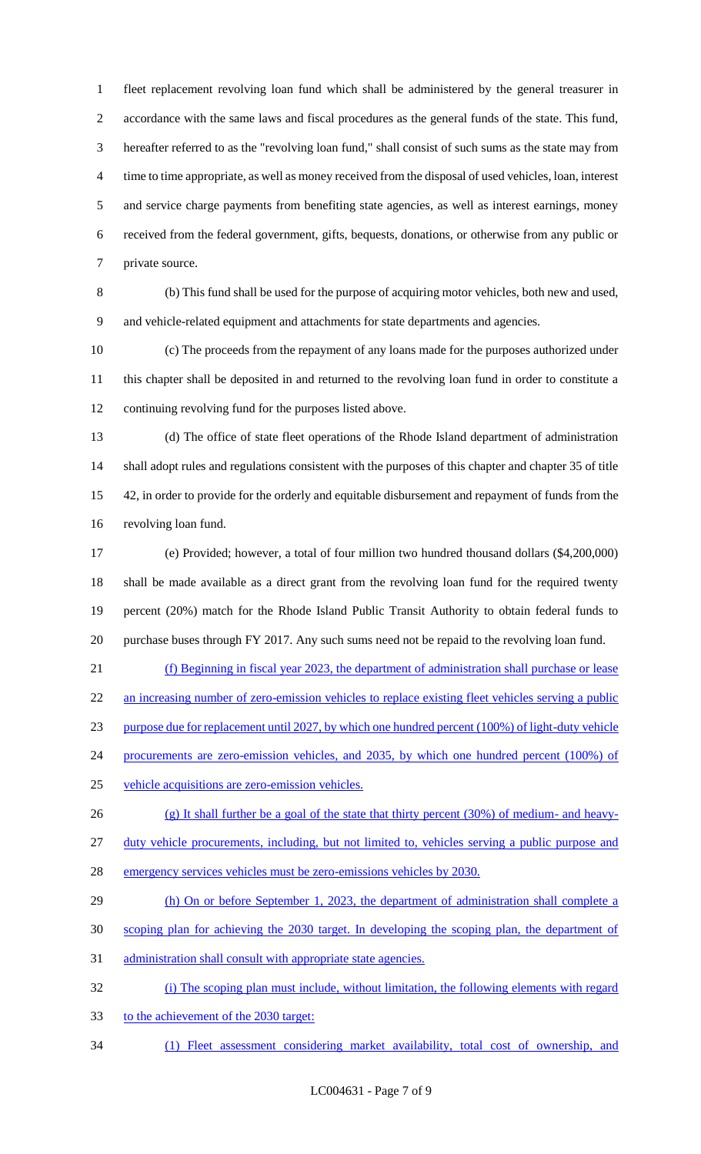fleet replacement revolving loan fund which shall be administered by the general treasurer in accordance with the same laws and fiscal procedures as the general funds of the state. This fund, hereafter referred to as the "revolving loan fund," shall consist of such sums as the state may from time to time appropriate, as well as money received from the disposal of used vehicles, loan, interest and service charge payments from benefiting state agencies, as well as interest earnings, money received from the federal government, gifts, bequests, donations, or otherwise from any public or private source.

 (b) This fund shall be used for the purpose of acquiring motor vehicles, both new and used, and vehicle-related equipment and attachments for state departments and agencies.

 (c) The proceeds from the repayment of any loans made for the purposes authorized under this chapter shall be deposited in and returned to the revolving loan fund in order to constitute a continuing revolving fund for the purposes listed above.

 (d) The office of state fleet operations of the Rhode Island department of administration shall adopt rules and regulations consistent with the purposes of this chapter and chapter 35 of title 42, in order to provide for the orderly and equitable disbursement and repayment of funds from the revolving loan fund.

 (e) Provided; however, a total of four million two hundred thousand dollars (\$4,200,000) shall be made available as a direct grant from the revolving loan fund for the required twenty percent (20%) match for the Rhode Island Public Transit Authority to obtain federal funds to purchase buses through FY 2017. Any such sums need not be repaid to the revolving loan fund.

 (f) Beginning in fiscal year 2023, the department of administration shall purchase or lease 22 an increasing number of zero-emission vehicles to replace existing fleet vehicles serving a public purpose due for replacement until 2027, by which one hundred percent (100%) of light-duty vehicle 24 procurements are zero-emission vehicles, and 2035, by which one hundred percent (100%) of

- vehicle acquisitions are zero-emission vehicles.
- (g) It shall further be a goal of the state that thirty percent (30%) of medium- and heavy-duty vehicle procurements, including, but not limited to, vehicles serving a public purpose and
- emergency services vehicles must be zero-emissions vehicles by 2030.
- 29 (h) On or before September 1, 2023, the department of administration shall complete a
- scoping plan for achieving the 2030 target. In developing the scoping plan, the department of
- administration shall consult with appropriate state agencies.
- (i) The scoping plan must include, without limitation, the following elements with regard
- to the achievement of the 2030 target:
- (1) Fleet assessment considering market availability, total cost of ownership, and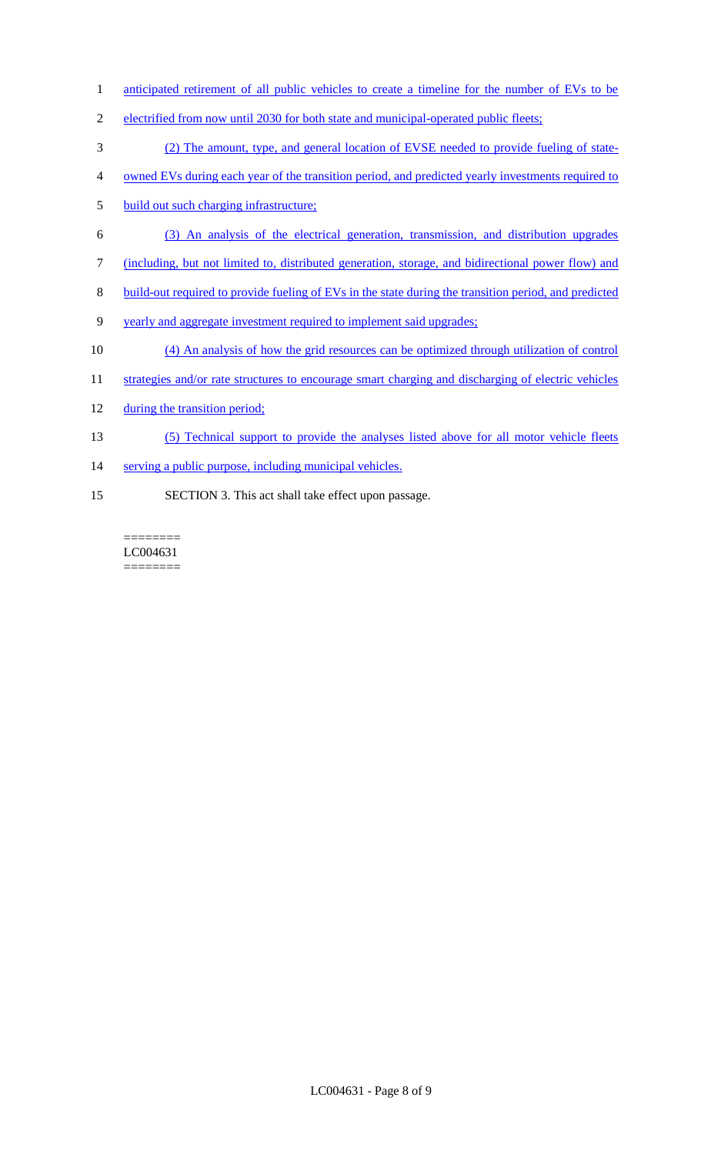- 1 anticipated retirement of all public vehicles to create a timeline for the number of EVs to be
- 2 electrified from now until 2030 for both state and municipal-operated public fleets;
- 3 (2) The amount, type, and general location of EVSE needed to provide fueling of state-
- 4 owned EVs during each year of the transition period, and predicted yearly investments required to
- 5 build out such charging infrastructure;
- 6 (3) An analysis of the electrical generation, transmission, and distribution upgrades
- 7 (including, but not limited to, distributed generation, storage, and bidirectional power flow) and
- 8 build-out required to provide fueling of EVs in the state during the transition period, and predicted
- 9 yearly and aggregate investment required to implement said upgrades;
- 10 (4) An analysis of how the grid resources can be optimized through utilization of control
- 11 strategies and/or rate structures to encourage smart charging and discharging of electric vehicles
- 12 during the transition period;
- 13 (5) Technical support to provide the analyses listed above for all motor vehicle fleets
- 14 serving a public purpose, including municipal vehicles.
- 15 SECTION 3. This act shall take effect upon passage.

======== LC004631 ========